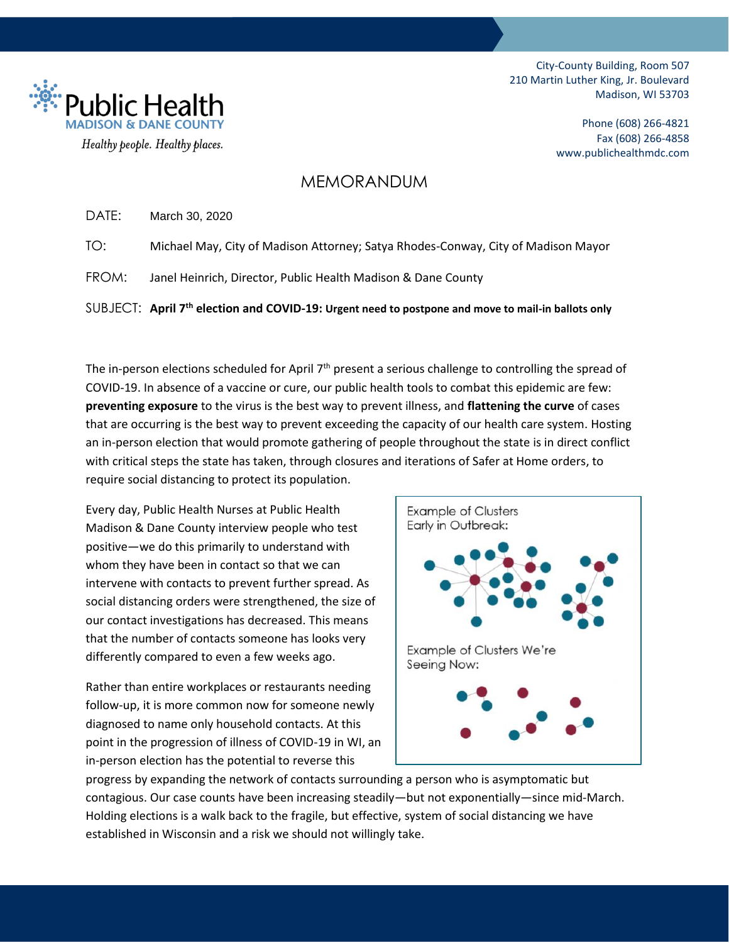

Phone (608) 266-4821 Fax (608) 266-4858 www.publichealthmdc.com

### MEMORANDUM

DATE: March 30, 2020

Healthy people. Healthy places.

**Public Hea** 

TO: Michael May, City of Madison Attorney; Satya Rhodes-Conway, City of Madison Mayor

FROM: Janel Heinrich, Director, Public Health Madison & Dane County

SUBJECT: **April 7th election and COVID-19: Urgent need to postpone and move to mail-in ballots only**

The in-person elections scheduled for April 7<sup>th</sup> present a serious challenge to controlling the spread of COVID-19. In absence of a vaccine or cure, our public health tools to combat this epidemic are few: **preventing exposure** to the virus is the best way to prevent illness, and **flattening the curve** of cases that are occurring is the best way to prevent exceeding the capacity of our health care system. Hosting an in-person election that would promote gathering of people throughout the state is in direct conflict with critical steps the state has taken, through closures and iterations of Safer at Home orders, to require social distancing to protect its population.

Every day, Public Health Nurses at Public Health Madison & Dane County interview people who test positive—we do this primarily to understand with whom they have been in contact so that we can intervene with contacts to prevent further spread. As social distancing orders were strengthened, the size of our contact investigations has decreased. This means that the number of contacts someone has looks very differently compared to even a few weeks ago.

Rather than entire workplaces or restaurants needing follow-up, it is more common now for someone newly diagnosed to name only household contacts. At this point in the progression of illness of COVID-19 in WI, an in-person election has the potential to reverse this



progress by expanding the network of contacts surrounding a person who is asymptomatic but contagious. Our case counts have been increasing steadily—but not exponentially—since mid-March. Holding elections is a walk back to the fragile, but effective, system of social distancing we have established in Wisconsin and a risk we should not willingly take.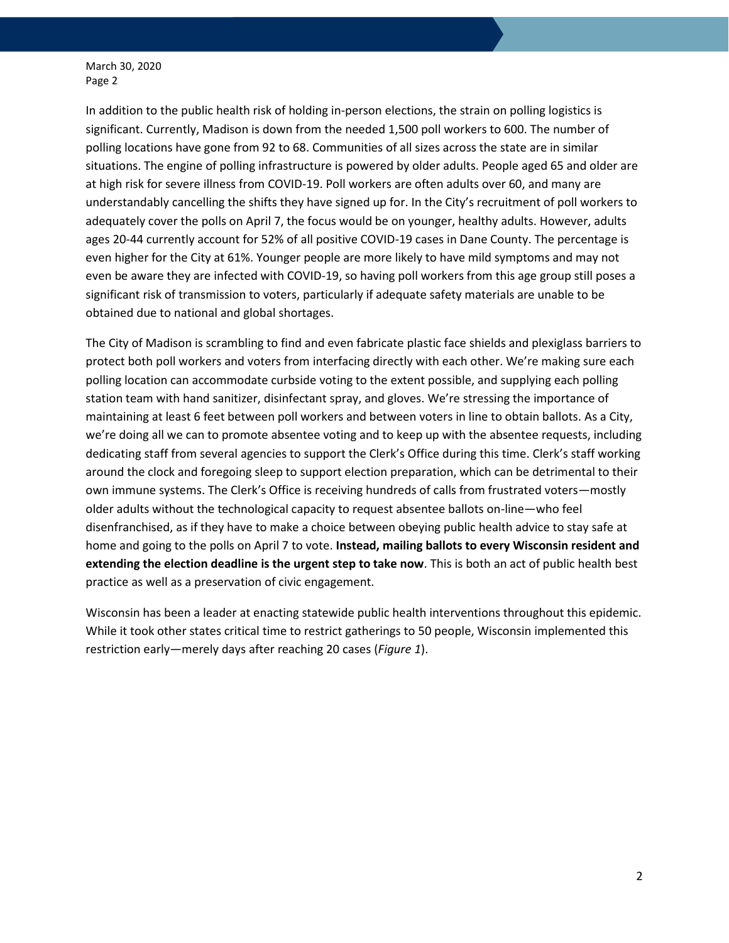In addition to the public health risk of holding in-person elections, the strain on polling logistics is significant. Currently, Madison is down from the needed 1,500 poll workers to 600. The number of polling locations have gone from 92 to 68. Communities of all sizes across the state are in similar situations. The engine of polling infrastructure is powered by older adults. People aged 65 and older are at high risk for severe illness from COVID-19. Poll workers are often adults over 60, and many are understandably cancelling the shifts they have signed up for. In the City's recruitment of poll workers to adequately cover the polls on April 7, the focus would be on younger, healthy adults. However, adults ages 20-44 currently account for 52% of all positive COVID-19 cases in Dane County. The percentage is even higher for the City at 61%. Younger people are more likely to have mild symptoms and may not even be aware they are infected with COVID-19, so having poll workers from this age group still poses a significant risk of transmission to voters, particularly if adequate safety materials are unable to be obtained due to national and global shortages.

The City of Madison is scrambling to find and even fabricate plastic face shields and plexiglass barriers to protect both poll workers and voters from interfacing directly with each other. We're making sure each polling location can accommodate curbside voting to the extent possible, and supplying each polling station team with hand sanitizer, disinfectant spray, and gloves. We're stressing the importance of maintaining at least 6 feet between poll workers and between voters in line to obtain ballots. As a City, we're doing all we can to promote absentee voting and to keep up with the absentee requests, including dedicating staff from several agencies to support the Clerk's Office during this time. Clerk's staff working around the clock and foregoing sleep to support election preparation, which can be detrimental to their own immune systems. The Clerk's Office is receiving hundreds of calls from frustrated voters—mostly older adults without the technological capacity to request absentee ballots on-line—who feel disenfranchised, as if they have to make a choice between obeying public health advice to stay safe at home and going to the polls on April 7 to vote. **Instead, mailing ballots to every Wisconsin resident and extending the election deadline is the urgent step to take now**. This is both an act of public health best practice as well as a preservation of civic engagement.

Wisconsin has been a leader at enacting statewide public health interventions throughout this epidemic. While it took other states critical time to restrict gatherings to 50 people, Wisconsin implemented this restriction early—merely days after reaching 20 cases (*Figure 1*).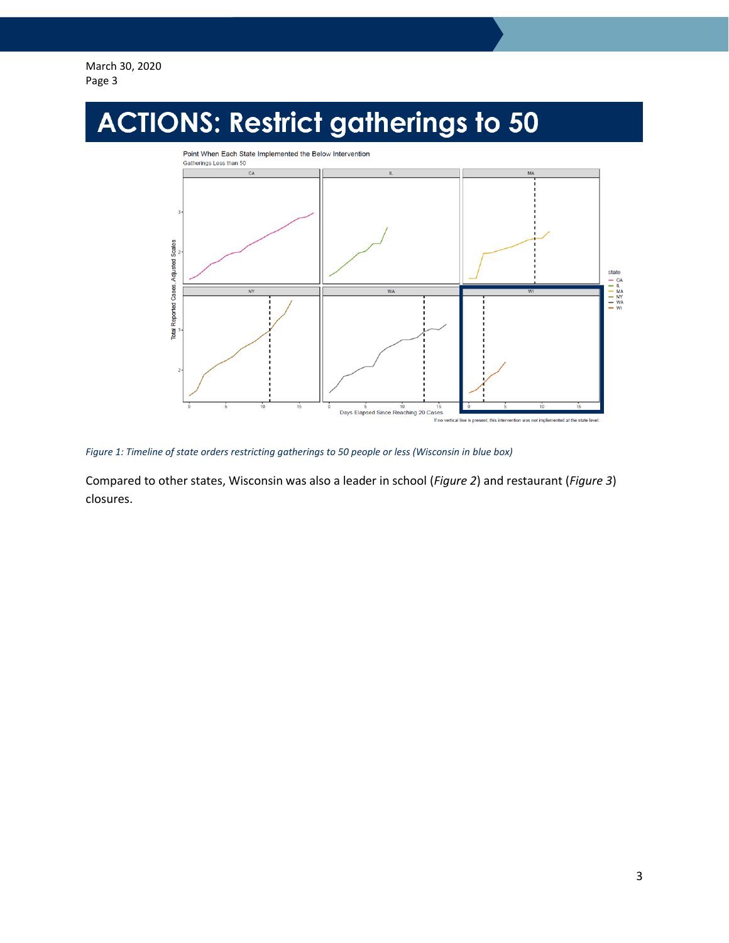

*Figure 1: Timeline of state orders restricting gatherings to 50 people or less (Wisconsin in blue box)*

Compared to other states, Wisconsin was also a leader in school (*Figure 2*) and restaurant (*Figure 3*) closures.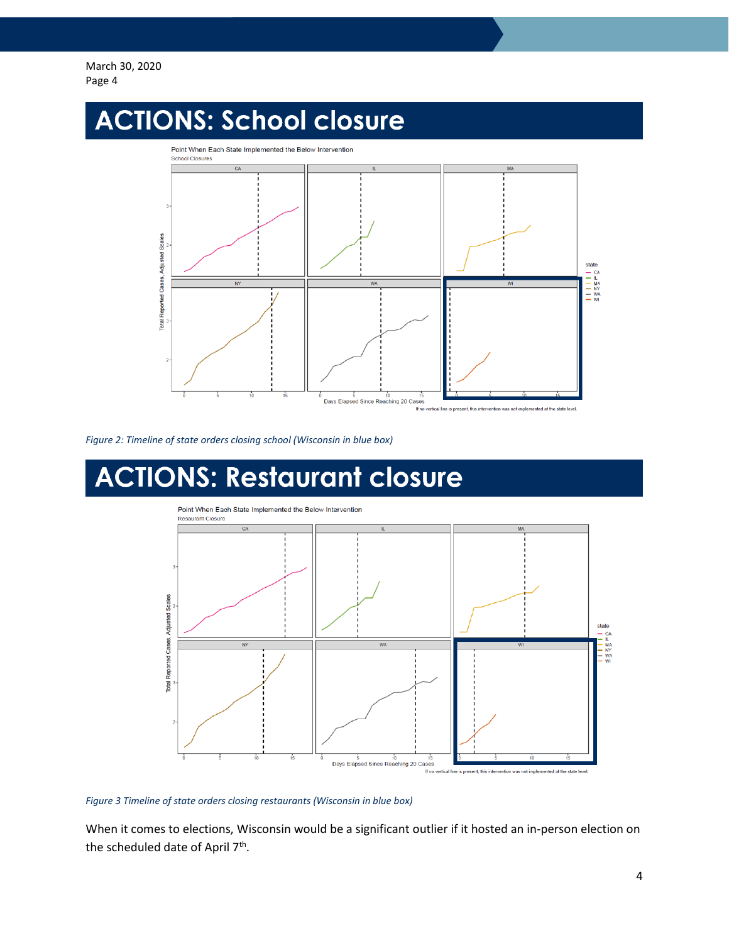## **ACTIONS: School closure**



*Figure 2: Timeline of state orders closing school (Wisconsin in blue box)*

# **ACTIONS: Restaurant closure**



#### *Figure 3 Timeline of state orders closing restaurants (Wisconsin in blue box)*

When it comes to elections, Wisconsin would be a significant outlier if it hosted an in-person election on the scheduled date of April 7<sup>th</sup>.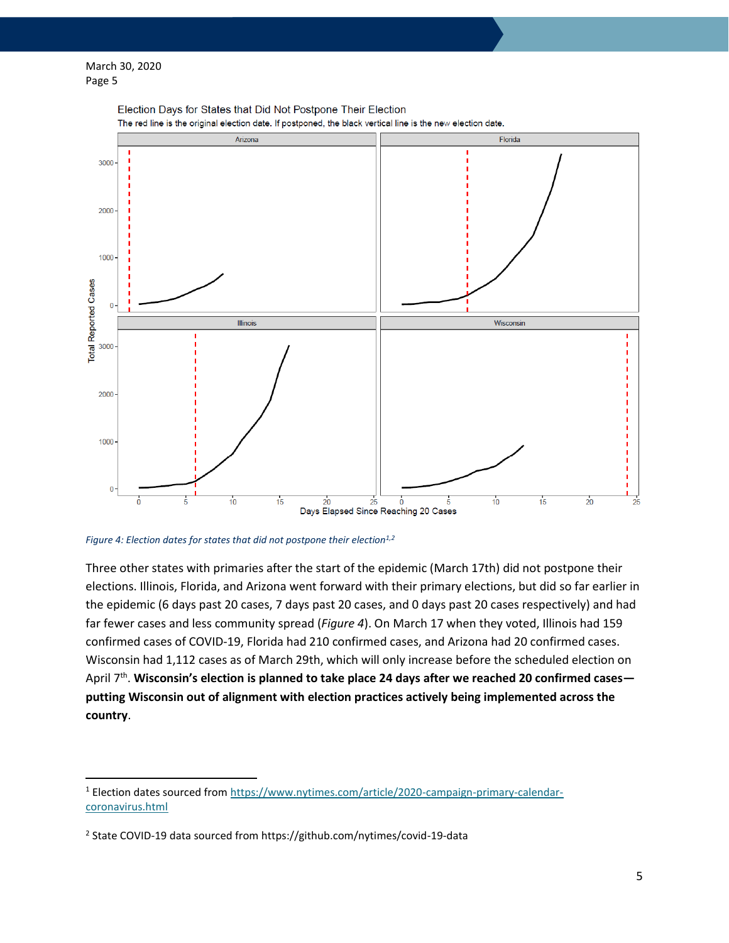$\overline{\phantom{a}}$ 



Election Days for States that Did Not Postpone Their Election

*Figure 4: Election dates for states that did not postpone their election1,2*

Three other states with primaries after the start of the epidemic (March 17th) did not postpone their elections. Illinois, Florida, and Arizona went forward with their primary elections, but did so far earlier in the epidemic (6 days past 20 cases, 7 days past 20 cases, and 0 days past 20 cases respectively) and had far fewer cases and less community spread (*Figure 4*). On March 17 when they voted, Illinois had 159 confirmed cases of COVID-19, Florida had 210 confirmed cases, and Arizona had 20 confirmed cases. Wisconsin had 1,112 cases as of March 29th, which will only increase before the scheduled election on April 7<sup>th</sup>. Wisconsin's election is planned to take place 24 days after we reached 20 confirmed cases **putting Wisconsin out of alignment with election practices actively being implemented across the country**.

<sup>1</sup> Election dates sourced fro[m https://www.nytimes.com/article/2020-campaign-primary-calendar](https://www.nytimes.com/article/2020-campaign-primary-calendar-coronavirus.html)[coronavirus.html](https://www.nytimes.com/article/2020-campaign-primary-calendar-coronavirus.html)

<sup>&</sup>lt;sup>2</sup> State COVID-19 data sourced from https://github.com/nytimes/covid-19-data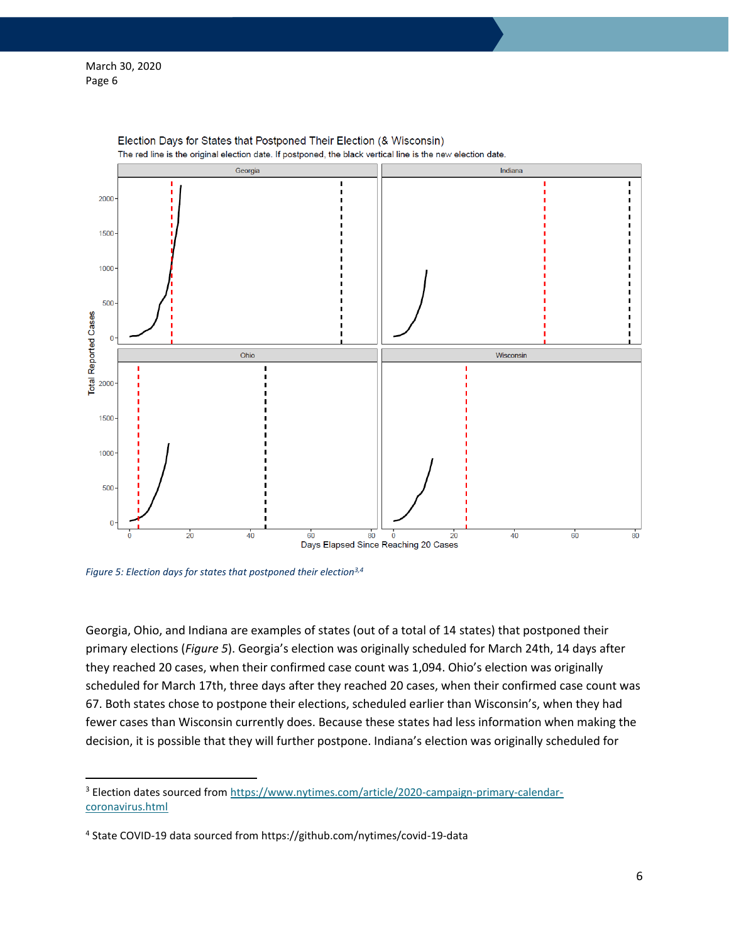$\overline{\phantom{a}}$ 



Election Days for States that Postponed Their Election (& Wisconsin) The red line is the original election date. If postponed, the black vertical line is the new election date.

*Figure 5: Election days for states that postponed their election3,4*

Georgia, Ohio, and Indiana are examples of states (out of a total of 14 states) that postponed their primary elections (*Figure 5*). Georgia's election was originally scheduled for March 24th, 14 days after they reached 20 cases, when their confirmed case count was 1,094. Ohio's election was originally scheduled for March 17th, three days after they reached 20 cases, when their confirmed case count was 67. Both states chose to postpone their elections, scheduled earlier than Wisconsin's, when they had fewer cases than Wisconsin currently does. Because these states had less information when making the decision, it is possible that they will further postpone. Indiana's election was originally scheduled for

<sup>&</sup>lt;sup>3</sup> Election dates sourced fro[m https://www.nytimes.com/article/2020-campaign-primary-calendar](https://www.nytimes.com/article/2020-campaign-primary-calendar-coronavirus.html)[coronavirus.html](https://www.nytimes.com/article/2020-campaign-primary-calendar-coronavirus.html)

<sup>4</sup> State COVID-19 data sourced from https://github.com/nytimes/covid-19-data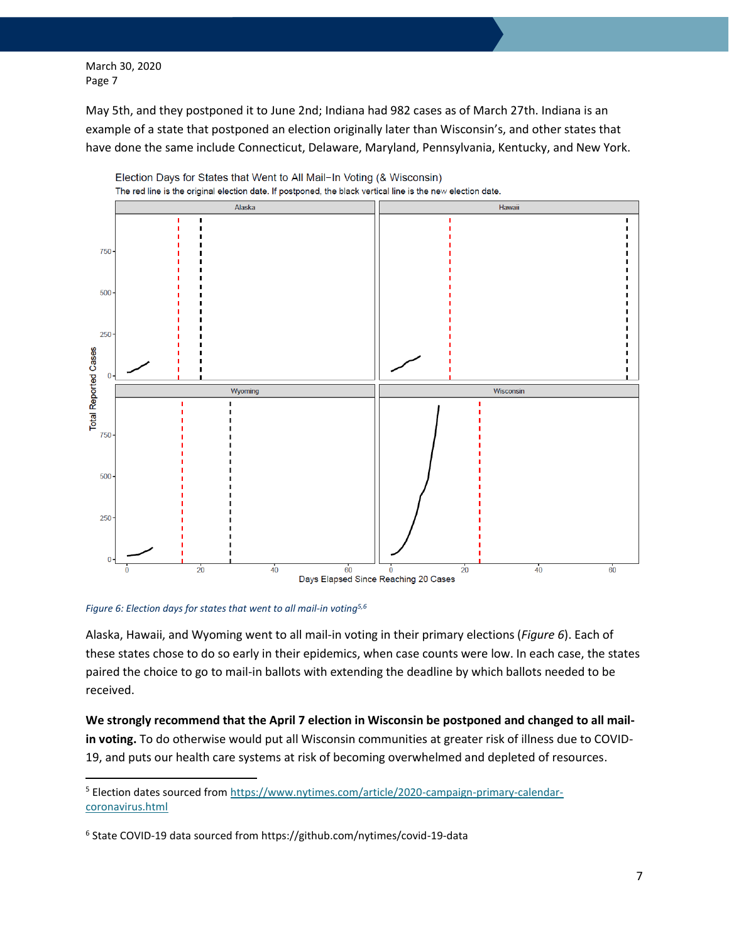May 5th, and they postponed it to June 2nd; Indiana had 982 cases as of March 27th. Indiana is an example of a state that postponed an election originally later than Wisconsin's, and other states that have done the same include Connecticut, Delaware, Maryland, Pennsylvania, Kentucky, and New York.



Election Days for States that Went to All Mail-In Voting (& Wisconsin)

*Figure 6: Election days for states that went to all mail-in voting5,6*

 $\overline{\phantom{a}}$ 

Alaska, Hawaii, and Wyoming went to all mail-in voting in their primary elections (*Figure 6*). Each of these states chose to do so early in their epidemics, when case counts were low. In each case, the states paired the choice to go to mail-in ballots with extending the deadline by which ballots needed to be received.

**We strongly recommend that the April 7 election in Wisconsin be postponed and changed to all mailin voting.** To do otherwise would put all Wisconsin communities at greater risk of illness due to COVID-19, and puts our health care systems at risk of becoming overwhelmed and depleted of resources.

<sup>&</sup>lt;sup>5</sup> Election dates sourced fro[m https://www.nytimes.com/article/2020-campaign-primary-calendar](https://www.nytimes.com/article/2020-campaign-primary-calendar-coronavirus.html)[coronavirus.html](https://www.nytimes.com/article/2020-campaign-primary-calendar-coronavirus.html)

<sup>6</sup> State COVID-19 data sourced from https://github.com/nytimes/covid-19-data